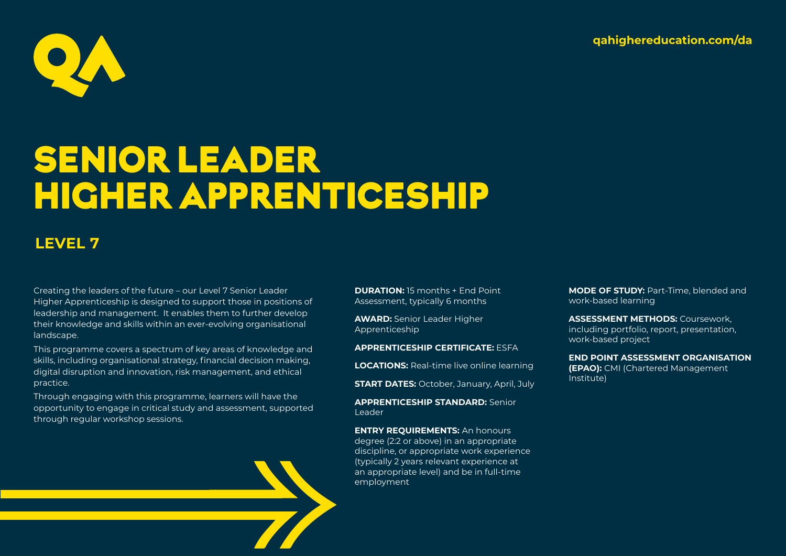**qahighereducation.com/da**



# SENIOR LEADER HIGHER APPRENTICESHIP

## **LEVEL 7**

Creating the leaders of the future – our Level 7 Senior Leader Higher Apprenticeship is designed to support those in positions of leadership and management. It enables them to further develop their knowledge and skills within an ever-evolving organisational landscape.

This programme covers a spectrum of key areas of knowledge and skills, including organisational strategy, financial decision making, digital disruption and innovation, risk management, and ethical practice.

Through engaging with this programme, learners will have the opportunity to engage in critical study and assessment, supported through regular workshop sessions.

**DURATION:** 15 months + End Point Assessment, typically 6 months

**AWARD:** Senior Leader Higher Apprenticeship

**APPRENTICESHIP CERTIFICATE:** ESFA

**LOCATIONS:** Real-time live online learning

**START DATES:** October, January, April, July

**APPRENTICESHIP STANDARD:** Senior Leader

**ENTRY REQUIREMENTS:** An honours degree (2:2 or above) in an appropriate discipline, or appropriate work experience (typically 2 years relevant experience at an appropriate level) and be in full-time employment

**MODE OF STUDY: Part-Time, blended and** work-based learning

**ASSESSMENT METHODS:** Coursework, including portfolio, report, presentation, work-based project

**END POINT ASSESSMENT ORGANISATION (EPAO):** CMI (Chartered Management Institute)